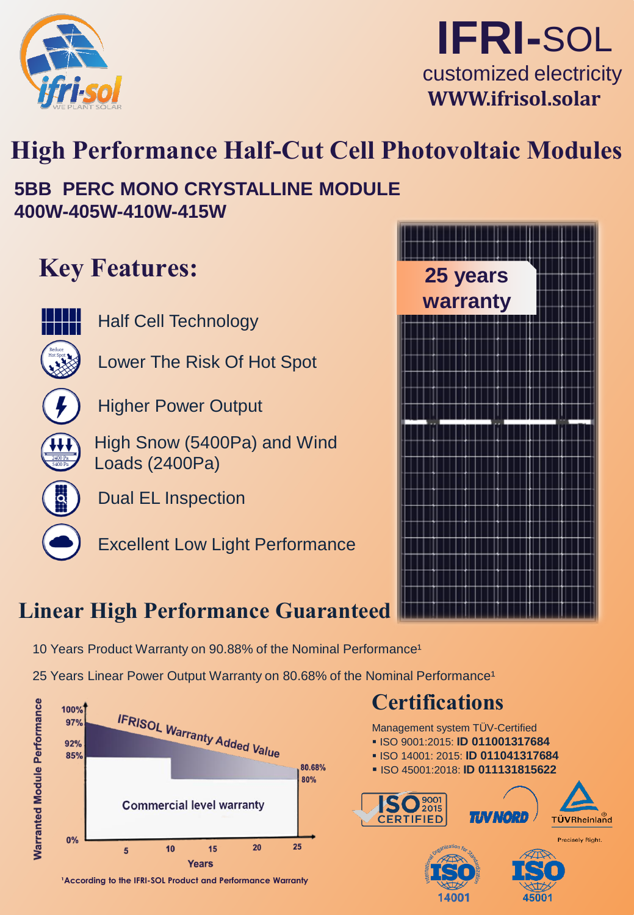



# **High Performance Half-Cut Cell Photovoltaic Modules**

### **5BB PERC MONO CRYSTALLINE MODULE 400W-405W-410W-415W**

# **Key Features:**

Half Cell Technology

Lower The Risk Of Hot Spot



Higher Power Output

High Snow (5400Pa) and Wind Loads (2400Pa)

Dual EL Inspection

Excellent Low Light Performance



### **Linear High Performance Guaranteed**

- 10 Years Product Warranty on 90.88% of the Nominal Performance<sup>1</sup>
- 25 Years Linear Power Output Warranty on 80.68% of the Nominal Performance<sup>1</sup>



<sup>1</sup> According to the IFRI-SOL Product and Performance Warranty

# **Certifications**

Management system TÜV-Certified

- ISO 9001:2015: **ID 011001317684**
- ISO 14001: 2015: **ID 011041317684**
- ISO 45001:2018: **ID 011131815622**

14001



45001